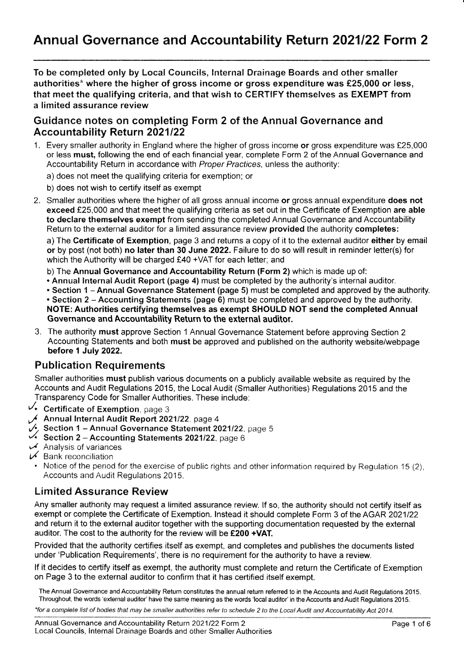To be completed only by Local Councils, Internal Drainage Boards and other smaller authorities\* where the higher of gross income or gross expenditure was  $£25,000$  or less, that meet the qualifying criteria, and that wish to CERTIFY themselves as EXEMPT from a limited assurance review

### Guidance notes on completing Fonm 2 of the Annual Governance and **Accountability Return 2021/22**

1. Every smaller authority in England where the higher of gross income or gross expenditure was £25,000 or less must, following the end of each financial year, complete Form 2 of the Annual Governance and Accountability Return in accordance with Proper Practices, unless the authority:

a) does not meet the qualifying criteria for exemption; or

- b) does not wish to certify itself as exempt
- 2. Smaller authorities where the higher of all gross annual income or gross annual expenditure does not exceed £25,000 and that meet the qualifying criteria as set out in the Certificate of Exemption are able to declare themselves exempt from sending the completed Annual Governance and Accountability Return to the external auditor for a limited assurance review provided the authority completes:

a) The Certificate of Exemption, page 3 and returns a copy of it to the external auditor either by email or by post (not both) no later than 30 June 2022. Failure to do so will result in reminder letter(s) for which the Authority will be charged £40 +VAT for each letter; and

b) The Annual Governance and Accountability Return (Form 2) which is made up of:

- Annual Internal Audit Report (page 4) must be completed by the authority's internal auditor.
- " Section 1 Annual Governance Statement (page 5) must be completed and approved by the authority.

• Section 2 - Accounting Statements (page 6) must be completed and approved by the authority. NOTE: Authorities certifying themselves as exempt SHOULD NOT send the completed Annual Governance and Accountability Return to the external auditor.

3. The authority must approve Section 1 Annual Governance Statement before approving Section <sup>2</sup> Accounting Statements and both must be approved and published on the authority website/webpage before 1 July 2022.

## **Publication Requirements**

Smaller authorities must publish various documents on a publicly available website as required by the Accounts and Audit Regulations 2015, the Local Audit (Smaller Authorities) Regulations 2015 and the Transparency Code for Smaller Authorities. These include:

- $\vee$  Certificate of Exemption, page 3.
- Annual Internal Audit Report 2021/22, page 4
- $\mathcal{V}$ . Section 1 Annual Governance Statement 2021/22, page 5
- y'. Sectlon 2 Accounting Statements 202'!122, page <sup>6</sup>
- $\overline{\nu}$  Analysis of variances  $\overline{\nu}$  Bank reconciliation
- 
- Notice of the period for the exercise of public rights and other information required by Regulation 15 (2), Accounts and Audit Regulations 2015.

## Limited Assurance Review

Any smaller authority may request a limited assurance review. lf so, the authority should not certify itself as exempt or complete the Certificate of Exemption. Instead it should complete Form 3 of the AGAR 2021/22 and return it to the external auditor together with the supporting documentation requested by the external auditor. The cost to the authority for the review will be  $£200 + VAT$ .

Provided that the authority ceftifies itself as exempt, and completes and publishes the documents listed under'Publication Requirements', there is no requirement for the authority to have a review

lf it decides to certify itself as exempt, the authority must complete and return the Certificate of Exemption on Page 3 to the external auditor to confirm that it has certified itself exempt.

The Annual Govemance and Accountability Return constitutes the annual return referred to in the Accounts and Audit Regulations 2015. Throughout, the words 'external auditor' have the same meaning as the words 'local auditor' in the Accounts and Audit Regulations 2015.

\*for a complete list of bodies that may be smaller authorities refer to schedule 2 to the Local Audit and Accountability Act 2014.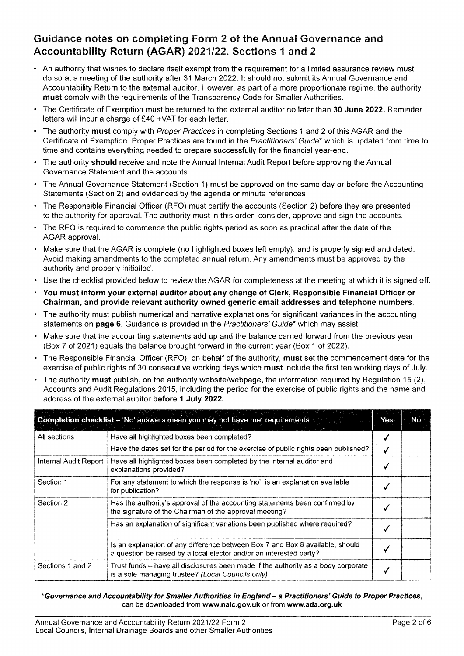## Guidance notes on completing Form 2 of the Annual Governance and Accountability Return (AGAR) 2021/22, Sections 1 and 2

- . An authority that wishes to declare itself exempt from the requirement for a limited assurance review must do so at a meeting of the authority after 31 March 2022. It should not submit its Annual Governance and Accountability Return to the external auditor. However, as part of a more proportionate regime, the authority must comply with the requirements of the Transparency Code for Smaller Authorities.
- The Certificate of Exemption must be returned to the external auditor no later than 30 June 2022. Reminder letters will incur a charge of £40 +VAT for each letter.
- The authority must comply with Proper Practices in completing Sections 1 and 2 of this AGAR and the Certificate of Exemption. Proper Practices are found in the Practitioners' Guide\* which is updated from time to time and contains everything needed to prepare successfully for the financial year-end.
- The authority should receive and note the Annual Internal Audit Report before approving the Annual Governance Statement and the accounts.
- . The Annual Governance Statement (Section 1) must be approved on the same day or before the Accounting Statements (Section 2) and evidenced by the agenda or minute references
- . The Responsible Financial Officer (RFO) must certify the accounts (Section 2) before they are presented to the authority for approval. The authority must in this order; consider, approve and sign the accounts.
- . The RFO is required to commence the public rights period as soon as practical after the date of the AGAR approval.
- . Make sure that the AGAR is complete (no highlighted boxes left empty), and is properly signed and dated. Avoid making amendments to the completed annual return. Any amendments must be approved by the authority and properly initialled.
- . Use the checklist provided below to review the AGAR for completeness at the meeting at which it is signed off.
- . You must inform your external auditor about any change of Clerk, Responsible Financial Officer or Chairman, and provide relevant authority owned generic email addresses and telephone numbers.
- . The authority must publish numerical and narrative explanations for significant variances in the accounting statements on page 6. Guidance is provided in the Practitioners' Guide\* which may assist.
- . Make sure that the accounting statements add up and the balance carried forward from the previous year (Box 7 of 2021) equals the balance brought forurard in the current year (Box 1 of 2022).
- . The Responsible Financial Officer (RFO), on behalf of the authority, must set the commencement date for the exercise of public rights of 30 consecutive working days which must include the first ten working days of July.
- . The authority must publish, on the authority website/webpage, the information required by Regulation 15 (2), Accounts and Audit Regulations 2015, including the period for the exercise of public rights and the name and address of the external auditor before 1 July 2022.

| Completion checklist - 'No' answers mean you may not have met requirements |                                                                                                                                                      |  | No. |
|----------------------------------------------------------------------------|------------------------------------------------------------------------------------------------------------------------------------------------------|--|-----|
| All sections                                                               | Have all highlighted boxes been completed?                                                                                                           |  |     |
|                                                                            | Have the dates set for the period for the exercise of public rights been published?                                                                  |  |     |
| Internal Audit Report                                                      | Have all highlighted boxes been completed by the internal auditor and<br>explanations provided?                                                      |  |     |
| Section 1                                                                  | For any statement to which the response is 'no', is an explanation available<br>for publication?                                                     |  |     |
| Section 2                                                                  | Has the authority's approval of the accounting statements been confirmed by<br>the signature of the Chairman of the approval meeting?                |  |     |
|                                                                            | Has an explanation of significant variations been published where required?                                                                          |  |     |
|                                                                            | Is an explanation of any difference between Box 7 and Box 8 available, should<br>a question be raised by a local elector and/or an interested party? |  |     |
| Sections 1 and 2                                                           | Trust funds – have all disclosures been made if the authority as a body corporate<br>is a sole managing trustee? (Local Councils only)               |  |     |

#### "Governance and Accountability for Smaller Authorities in England - a Practitioners' Guide to Proper Praetices, can be downloaded from www.nalc.gov.uk or from www.ada.org.uk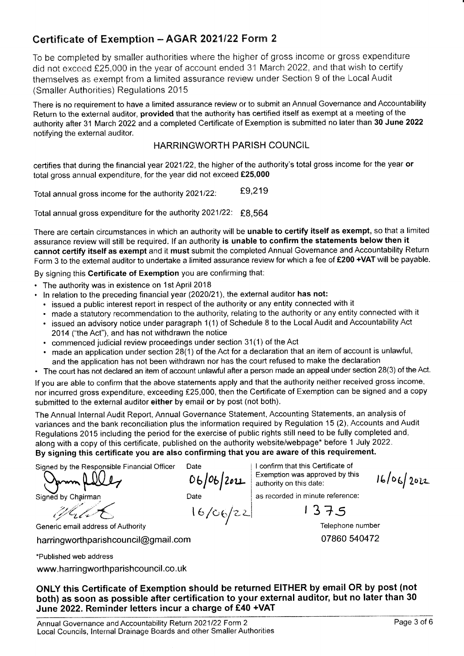## Certificate of Exemption - AGAR 2021/22 Form 2

To be completed by smaller authorities where the higher of gross income or gross expenditure did not exceed £25,000 in the year of account ended 31 March 2022, and that wish to certify themselves as exempt from a limited assurance review under Section 9 of the Local Audit (Smaller Authorities) Regulations 2015

There is no requirement to have a limited assurance review or to submit an Annual Governance and Accountability Return to the external auditor, provided that the authority has certified itself as exempt at a meeting of the authority after 31 March 2022 and a completed Certificate of Exemption is submitted no later than 30 June 2022 notifying the external auditor.

### HARRINGWORTH PARISH COUNCIL

certifies that during the financial year 2021/22, the higher of the authority's total gross income for the year or total gross annual expenditure, for the year did not exceed €25,000

Total annual gross income for the authority  $2021/22$ :  $E9,219$ 

Total annual gross expenditure for the authority 2021/22: £8,564

There are certain circumstances in which an authority will be unable to certify itself as exempt, so that a limited assurance review will still be required. lf an authority is unable to confirm the statements below then it cannot certify itself as exempt and it must submit the completed Annual Governance and Accountability Return Form 3 to the external auditor to undertake a limited assurance review for which a fee of £200 +VAT will be payable.

By signing this Certificate of Exemption you are confirming that:

- . The authority was in existence on 1st April <sup>2018</sup>
- . ln relation to the preceding financialyear (2020121), the external auditor has not:
	- . issued a public interest report in respect of the authority or any entity connected with it
	- . made a statutory recommendation to the authority, relating to the authority or any entity connected with it
	- . issued an advisory notice under paragraph 1(1) of Schedule 8 to the Local Audit and Accountability Act 2014 ("the Act"), and has not withdrawn the notice
	- . commenced judicial review proceedings under section 31(1) of the Act
	- . made an application under section 28(1) of the Act for a declaration that an item of account is unlawful, and the application has not been withdrawn nor has the court refused to make the declaration
- . The court has not declared an item of account unlawful affer a person made an appeal under section 28(3) of the Act.

lf you are able to confirm that the above statements apply and that the authority neither received gross income, nor incurred gross expenditure, exceeding £25,000, then the Certificate of Exemption can be signed and a copy submitted to the external auditor either by email or by post (not both).

The Annual Internal Audit Report, Annual Governance Statement, Accounting Statements, an analysis of variances and the bank reconciliation plus the information required by Regulation 15 (2), Accounts and Audit Regulations 2015 including the period for the exercise of public rights still need to be fully completed and, along with a copy of this certificate, published on the authority website/webpage\* before 1 July 2022. By signing this certificate you are also confirming that you are aware of this requirement.

 $06/201$ 

| 6 /eef 'rz-

Signed by the Responsible Financial Officer

felles

Generic email address of Authority

harring worth parish council @gmail.com

\*Published web address

www.harringworthparishcouncil.co.uk

I confirm that this Certificate of Exemption was approved by this authority on this date:

as recorded in minute reference:  $16/06/202$ 

Date  $\begin{bmatrix} 16/06/22 \end{bmatrix}$  as recorded in minute refere

Telephone number 07860 540472

ONLY this Certificate of Exemption should be returned EITHER by email OR by post (not both) as soon as possible after certification to your external auditor, but no later than 30 June 2022. Reminder letters incur a charge of £40 +VAT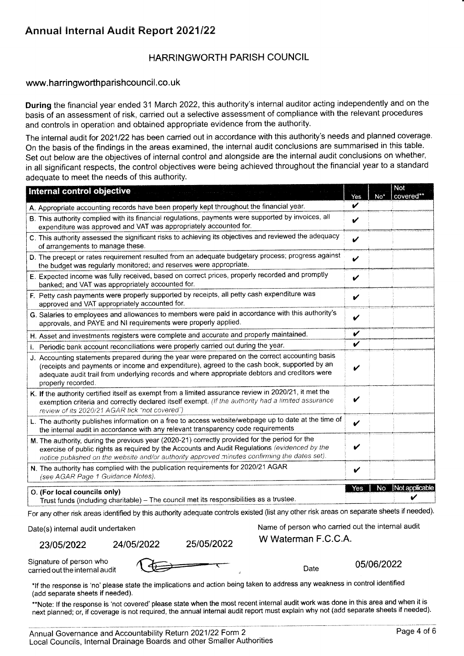## Annual Internal Audit Report 2021/22

### HARRINGWORTH PARISH COUNCIL

#### www.harringworthparishcouncil.co.uk

During the financial year ended 31 March 2022, this authority's internal auditor acting independently and on the basis of an assessment of risk, carried out a selective assessment of compliance with the relevant procedures and controls in operation and obtained appropriate evidence from the authority.

The internal audit for 2021/22 has been carried out in accordance with this authority's needs and planned coverage. On the basis of the findings in the areas examined, the internal audit conclusions are summarised in this table. Set out below are the objectives of internal control and alongside are the internal audit conclusions on whether, in all significant respects, the control objectives were being achieved throughout the flnancial year to a standard adequate to meet the needs of this authority.

| Internal control objective                                                                                                                                                                                                                                                                                            | Yes | $No*$ | Not<br>covered** |
|-----------------------------------------------------------------------------------------------------------------------------------------------------------------------------------------------------------------------------------------------------------------------------------------------------------------------|-----|-------|------------------|
| A. Appropriate accounting records have been properly kept throughout the financial year.                                                                                                                                                                                                                              | ✓   |       |                  |
| B. This authority complied with its financial regulations, payments were supported by invoices, all<br>expenditure was approved and VAT was appropriately accounted for.                                                                                                                                              | V   |       |                  |
| C. This authority assessed the significant risks to achieving its objectives and reviewed the adequacy<br>of arrangements to manage these.                                                                                                                                                                            | ✔   |       |                  |
| D. The precept or rates requirement resulted from an adequate budgetary process; progress against<br>the budget was regularly monitored; and reserves were appropriate.                                                                                                                                               | ✓   |       |                  |
| E. Expected income was fully received, based on correct prices, properly recorded and promptly<br>banked; and VAT was appropriately accounted for.                                                                                                                                                                    | V   |       |                  |
| F. Petty cash payments were properly supported by receipts, all petty cash expenditure was<br>approved and VAT appropriately accounted for.                                                                                                                                                                           | V   |       |                  |
| G. Salaries to employees and allowances to members were paid in accordance with this authority's<br>approvals, and PAYE and NI requirements were properly applied.                                                                                                                                                    | V   |       |                  |
| H. Asset and investments registers were complete and accurate and properly maintained.                                                                                                                                                                                                                                | V   |       |                  |
| I. Periodic bank account reconciliations were properly carried out during the year.                                                                                                                                                                                                                                   | V   |       |                  |
| J. Accounting statements prepared during the year were prepared on the correct accounting basis<br>(receipts and payments or income and expenditure), agreed to the cash book, supported by an<br>adequate audit trail from underlying records and where appropriate debtors and creditors were<br>properly recorded. | V   |       |                  |
| K. If the authority certified itself as exempt from a limited assurance review in 2020/21, it met the<br>exemption criteria and correctly declared itself exempt. (If the authority had a limited assurance<br>review of its 2020/21 AGAR tick "not covered")                                                         | V   |       |                  |
| L. The authority publishes information on a free to access website/webpage up to date at the time of<br>the internal audit in accordance with any relevant transparency code requirements                                                                                                                             | V   |       |                  |
| M. The authority, during the previous year (2020-21) correctly provided for the period for the<br>exercise of public rights as required by the Accounts and Audit Regulations (evidenced by the<br>notice published on the website and/or authority approved minutes confirming the dates set).                       | V   |       |                  |
| N. The authority has complied with the publication requirements for 2020/21 AGAR<br>(see AGAR Page 1 Guidance Notes).                                                                                                                                                                                                 | ✔   |       |                  |
| O. (For local councils only)<br>Trust funds (including charitable) - The council met its responsibilities as a trustee.                                                                                                                                                                                               | Yes | No.   | Not applicable   |

For any other risk areas identifled by this authority adequate controls existed (list any other risk areas on separate sheets if needed).

23/05/2022 24/05/2022 25/05/2022 W Waterman F.C.C.A.

Date(s) internal audit undertaken Name of person who carried out the internal audit

Signature of person who

Signature of person who carried out the internal audit of the carried out the internal audit of the carried out the internal audit of the carried out the internal audit of the carried out the internal audit of the carried

\*If the response is 'no' please state the implications and action being taken to address any weakness in control identified (add separate sheets if needed).

\*\*Note: If the response is 'not covered' please state when the most recent internal audit work was done in this area and when it is next planned; or, if coverage is not required, the annual internal audit report must explain why not (add separate sheets if needed).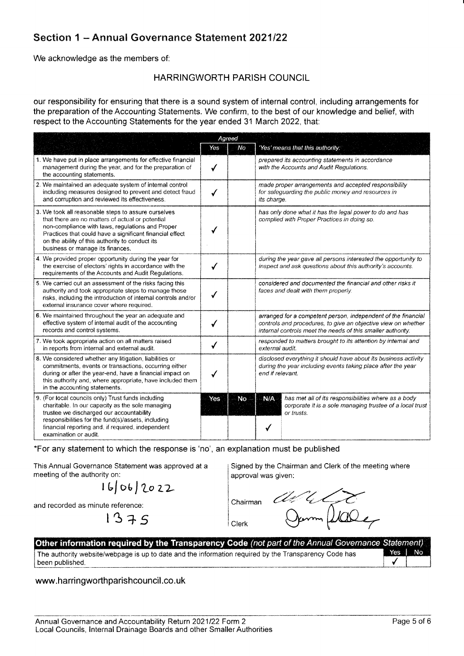## Section 1 - Annual Governance Statement 2021/22

We acknowledge as the members of:

#### **HARRINGWORTH PARISH COUNCIL**

our responsibility for ensuring that there is a sound system of internal control, including arrangements for the preparation of the Accounting Statements. We confirm, to the best of our knowledge and belief, with respect to the Accounting Statements for the year ended 31 March 2022, that:

|                                                                                                                                                                                                                                                                                                                | Agreed |     |                                                                                                                                                                                               |  |
|----------------------------------------------------------------------------------------------------------------------------------------------------------------------------------------------------------------------------------------------------------------------------------------------------------------|--------|-----|-----------------------------------------------------------------------------------------------------------------------------------------------------------------------------------------------|--|
|                                                                                                                                                                                                                                                                                                                | Yes.   | No  | 'Yes' means that this authority:                                                                                                                                                              |  |
| 1. We have put in place arrangements for effective financial<br>management during the year, and for the preparation of<br>the accounting statements.                                                                                                                                                           |        |     | prepared its accounting statements in accordance<br>with the Accounts and Audit Regulations.                                                                                                  |  |
| 2. We maintained an adequate system of internal control<br>including measures designed to prevent and detect fraud<br>and corruption and reviewed its effectiveness.                                                                                                                                           |        |     | made proper arrangements and accepted responsibility<br>for safeguarding the public money and resources in<br>its charge.                                                                     |  |
| 3. We took all reasonable steps to assure ourselves<br>that there are no matters of actual or potential<br>non-compliance with laws, regulations and Proper<br>Practices that could have a significant financial effect<br>on the ability of this authority to conduct its<br>business or manage its finances. |        |     | has only done what it has the legal power to do and has<br>complied with Proper Practices in doing so.                                                                                        |  |
| 4. We provided proper opportunity during the year for<br>the exercise of electors' rights in accordance with the<br>requirements of the Accounts and Audit Regulations.                                                                                                                                        |        |     | during the year gave all persons interested the opportunity to<br>inspect and ask questions about this authority's accounts.                                                                  |  |
| 5. We carried out an assessment of the risks facing this<br>authority and took appropriate steps to manage those<br>risks, including the introduction of internal controls and/or<br>external insurance cover where required.                                                                                  |        |     | considered and documented the financial and other risks it<br>faces and dealt with them properly.                                                                                             |  |
| 6. We maintained throughout the year an adequate and<br>effective system of internal audit of the accounting<br>records and control systems.                                                                                                                                                                   |        |     | arranged for a competent person, independent of the financial<br>controls and procedures, to give an objective view on whether<br>internal controls meet the needs of this smaller authority. |  |
| 7. We took appropriate action on all matters raised<br>in reports from internal and external audit.                                                                                                                                                                                                            |        |     | responded to matters brought to its attention by internal and<br>external audit.                                                                                                              |  |
| 8. We considered whether any litigation, liabilities or<br>commitments, events or transactions, occurring either<br>during or after the year-end, have a financial impact on<br>this authority and, where appropriate, have included them<br>in the accounting statements.                                     |        |     | disclosed everything it should have about its business activity<br>during the year including events taking place after the year<br>end if relevant.                                           |  |
| 9. (For local councils only) Trust funds including<br>charitable. In our capacity as the sole managing<br>trustee we discharged our accountability<br>responsibilities for the fund(s)/assets, including<br>financial reporting and, if required, independent<br>examination or audit.                         | Yes    | No. | N/A<br>has met all of its responsibilities where as a body<br>corporate it is a sole managing trustee of a local trust<br>or trusts.                                                          |  |

\*For any statement to which the response is 'no', an explanation must be published

This Annual Governance Statement was approved at a meeting of the authority on:

 $1606/2022$ 

and recorded as minute reference:<br> $\begin{array}{c} \n\downarrow 3 \rightarrow \end{array}$ 

Signed by the Chairman and Clerk of the meeting where approval was given:

ance Co Chairman Clerk

| Other information required by the Transparency Code (not part of the Annual Governance Statement)     |        |  |
|-------------------------------------------------------------------------------------------------------|--------|--|
| The authority website/webpage is up to date and the information required by the Transparency Code has | Yes No |  |
| I been published.                                                                                     |        |  |

#### www.harringworthparishcouncil.co.uk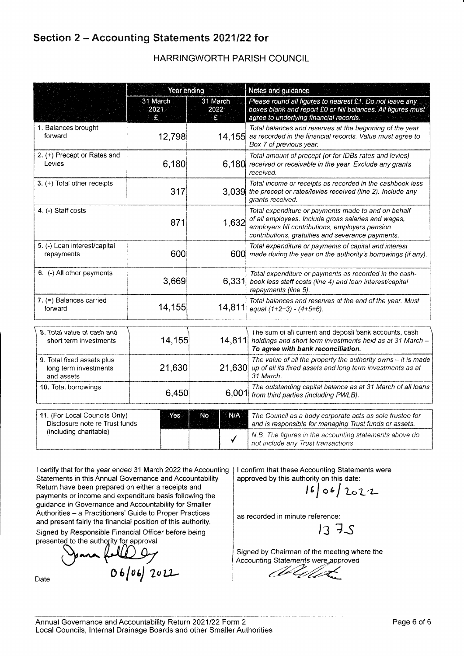## Section 2 - Accounting Statements 2021/22 for

## HARRINGWORTH PARISH COUNCIL

|                                                                   | Year ending           |                       | Notes and guidance                                                                                                                                                                                               |  |  |
|-------------------------------------------------------------------|-----------------------|-----------------------|------------------------------------------------------------------------------------------------------------------------------------------------------------------------------------------------------------------|--|--|
|                                                                   | 31 March<br>2021<br>£ | 31 March<br>2022<br>£ | Please round all figures to nearest £1. Do not leave any<br>boxes blank and report £0 or Nil balances. All figures must<br>agree to underlying financial records.                                                |  |  |
| 1. Balances brought<br>forward                                    | 12,798                | 14,155                | Total balances and reserves at the beginning of the year<br>as recorded in the financial records. Value must agree to<br>Box 7 of previous year.                                                                 |  |  |
| 2. (+) Precept or Rates and<br>Levies                             | 6,180                 |                       | Total amount of precept (or for IDBs rates and levies)<br>6,180 received or receivable in the year. Exclude any grants<br>received.                                                                              |  |  |
| 3. (+) Total other receipts                                       | 317                   | 3.039                 | Total income or receipts as recorded in the cashbook less<br>the precept or rates/levies received (line 2). Include any<br>grants received.                                                                      |  |  |
| 4. (-) Staff costs                                                | 871                   | 1.632                 | Total expenditure or payments made to and on behalf<br>of all employees. Include gross salaries and wages,<br>employers NI contributions, employers pension<br>contributions, gratuities and severance payments. |  |  |
| 5. (-) Loan interest/capital<br>repayments                        | 600                   |                       | Total expenditure or payments of capital and interest<br>600 made during the year on the authority's borrowings (if any).                                                                                        |  |  |
| 6. (-) All other payments                                         | 3,669                 | 6,331                 | Total expenditure or payments as recorded in the cash-<br>book less staff costs (line 4) and loan interest/capital<br>repayments (line 5).                                                                       |  |  |
| $7. (=)$ Balances carried<br>forward                              | 14,155                | 14,811                | Total balances and reserves at the end of the year. Must<br>equal $(1+2+3) - (4+5+6)$ .                                                                                                                          |  |  |
| 8. Total value of cash and<br>short term investments              | 14,155                | 14,811                | The sum of all current and deposit bank accounts, cash<br>holdings and short term investments held as at 31 March -<br>To agree with bank reconciliation.                                                        |  |  |
| 9. Total fixed assets plus<br>long term investments<br>and assets | 21,630                |                       | The value of all the property the authority owns $-$ it is made<br>21,630 up of all its fixed assets and long term investments as at<br>31 March.                                                                |  |  |
| 10. Total borrowings                                              | 6,450                 | 6,001                 | The outstanding capital balance as at 31 March of all loans<br>from third parties (including PWLB).                                                                                                              |  |  |
| 11. (For Local Councils Only)                                     | Yes                   | N/A<br>No             | The Council as a body corporate acts as sole trustee for                                                                                                                                                         |  |  |
| Disclosure note re Trust funds<br>(including charitable)          |                       |                       | and is responsible for managing Trust funds or assets.                                                                                                                                                           |  |  |
|                                                                   |                       | ✓                     | N.B. The figures in the accounting statements above do<br>not include any Trust transactions.                                                                                                                    |  |  |

I certify that for the year ended 31 March 2022 the Accounting Statements in this Annual Governance and Accountability Return have been prepared on either a receipts and payments or income and expenditure basis following the guidance in Governance and Accountability for Smaller Authorities - a Practitioners' Guide to Proper Practices and present fairly the financial position of this authority. Signed by Responsible Financial Officer before being

approval

Date **0.6/06/2022** 

I confirm that these Accounting Statements were<br>approved by this authority on this date:

 $16006/2022$ 

as recorded in minute reference

 $1375$ 

Signed by Chairman of the meeting where the Accounting Statements were approved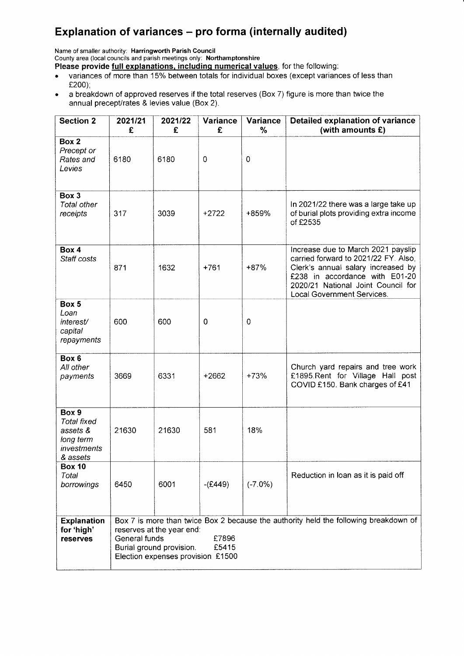# Explanation of variances - pro forma (internally audited)

Name of smaller authority: Harringworth Parish Council

County area (local councils and parish meetings only: Northamptonshire Please provide full explanations, including numerical values, for the following:

- variances of more than 15% between totals for individual boxes (except variances of less than £200);
- . <sup>a</sup>breakdown of approved reserves if the total reserves (Box 7) figure is more than twice the annual precept/rates & levies value (Box 2).

| <b>Section 2</b>                                                                | 2021/21<br>£  | 2021/22<br>£                                                                               | Variance<br>£  | Variance<br>$\%$ | Detailed explanation of variance<br>(with amounts $E$ )                                                                                                                                                                |
|---------------------------------------------------------------------------------|---------------|--------------------------------------------------------------------------------------------|----------------|------------------|------------------------------------------------------------------------------------------------------------------------------------------------------------------------------------------------------------------------|
| Box 2<br>Precept or<br>Rates and<br>Levies                                      | 6180          | 6180                                                                                       | $\overline{0}$ | $\mathbf 0$      |                                                                                                                                                                                                                        |
| Box 3<br>Total other<br>receipts                                                | 317           | 3039                                                                                       | $+2722$        | +859%            | In 2021/22 there was a large take up<br>of burial plots providing extra income<br>of £2535                                                                                                                             |
| Box 4<br>Staff costs                                                            | 871           | 1632                                                                                       | $+761$         | $+87%$           | Increase due to March 2021 payslip<br>carried forward to 2021/22 FY. Also,<br>Clerk's annual salary increased by<br>£238 in accordance with E01-20<br>2020/21 National Joint Council for<br>Local Government Services. |
| Box 5<br>Loan<br>interest/<br>capital<br>repayments                             | 600           | 600                                                                                        | $\mathbf 0$    | 0                |                                                                                                                                                                                                                        |
| Box 6<br>All other<br>payments                                                  | 3669          | 6331                                                                                       | $+2662$        | $+73%$           | Church yard repairs and tree work<br>£1895.Rent for Village Hall post<br>COVID £150. Bank charges of £41                                                                                                               |
| Box 9<br><b>Total fixed</b><br>assets &<br>long term<br>investments<br>& assets | 21630         | 21630                                                                                      | 581            | 18%              |                                                                                                                                                                                                                        |
| <b>Box 10</b><br>Total<br>borrowings                                            | 6450          | 6001                                                                                       | $-(E449)$      | $(-7.0\%)$       | Reduction in loan as it is paid off                                                                                                                                                                                    |
| <b>Explanation</b><br>for 'high'<br><b>reserves</b>                             | General funds | reserves at the year end:<br>Burial ground provision.<br>Election expenses provision £1500 | £7896<br>£5415 |                  | Box 7 is more than twice Box 2 because the authority held the following breakdown of                                                                                                                                   |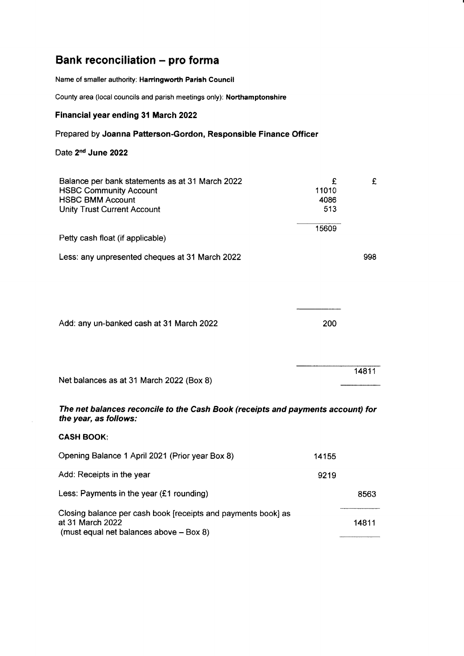# Bank reconciliation - pro forma

Name of smaller authority: Harringworth Parish Gouncil

County area (local councils and parish meetings only): Northamptonshire

#### Financial year ending 31 March 2022

### Prepared by Joanna Patterson-Gordon, Responsible Finance Officer

## Date 2<sup>nd</sup> June 2022

| Balance per bank statements as at 31 March 2022<br><b>HSBC Community Account</b><br><b>HSBC BMM Account</b><br><b>Unity Trust Current Account</b> | £<br>11010<br>4086<br>513 | £     |
|---------------------------------------------------------------------------------------------------------------------------------------------------|---------------------------|-------|
| Petty cash float (if applicable)                                                                                                                  | 15609                     |       |
| Less: any unpresented cheques at 31 March 2022                                                                                                    |                           | 998   |
| Add: any un-banked cash at 31 March 2022                                                                                                          | 200                       |       |
| Net balances as at 31 March 2022 (Box 8)                                                                                                          |                           | 14811 |
| The net balances reconcile to the Cash Book (receipts and payments account) for<br>the year, as follows:                                          |                           |       |
| <b>CASH BOOK:</b>                                                                                                                                 |                           |       |
| Opening Balance 1 April 2021 (Prior year Box 8)                                                                                                   | 14155                     |       |
| Add: Receipts in the year                                                                                                                         | 9219                      |       |
| Less: Payments in the year $(f1$ rounding)                                                                                                        |                           | 8563  |
| Closing balance per cash book [receipts and payments book] as<br>at 31 March 2022<br>(must equal net balances above - Box 8)                      |                           | 14811 |